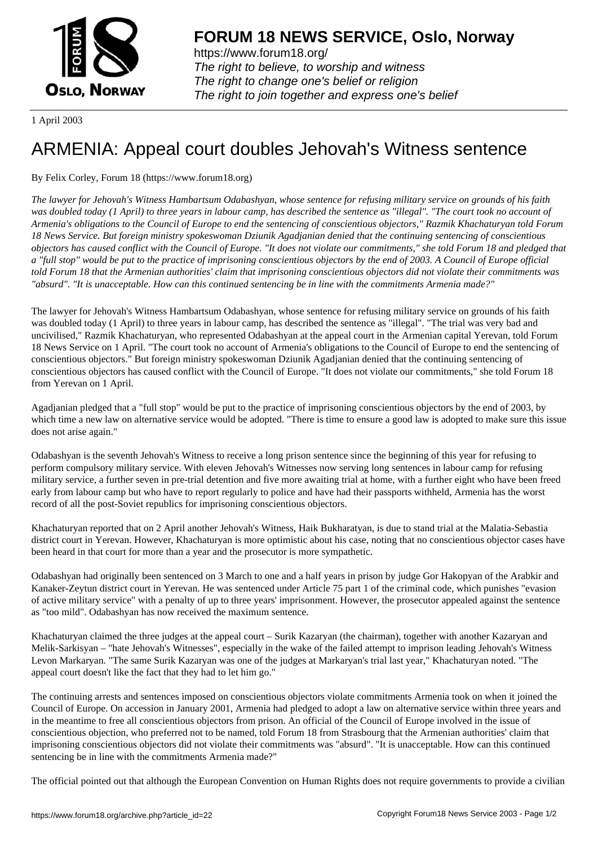

https://www.forum18.org/ The right to believe, to worship and witness The right to change one's belief or religion [The right to join together a](https://www.forum18.org/)nd express one's belief

1 April 2003

## [ARMENIA: App](https://www.forum18.org)eal court doubles Jehovah's Witness sentence

## By Felix Corley, Forum 18 (https://www.forum18.org)

*The lawyer for Jehovah's Witness Hambartsum Odabashyan, whose sentence for refusing military service on grounds of his faith was doubled today (1 April) to three years in labour camp, has described the sentence as "illegal". "The court took no account of Armenia's obligations to the Council of Europe to end the sentencing of conscientious objectors," Razmik Khachaturyan told Forum 18 News Service. But foreign ministry spokeswoman Dziunik Agadjanian denied that the continuing sentencing of conscientious objectors has caused conflict with the Council of Europe. "It does not violate our commitments," she told Forum 18 and pledged that a "full stop" would be put to the practice of imprisoning conscientious objectors by the end of 2003. A Council of Europe official told Forum 18 that the Armenian authorities' claim that imprisoning conscientious objectors did not violate their commitments was "absurd". "It is unacceptable. How can this continued sentencing be in line with the commitments Armenia made?"*

The lawyer for Jehovah's Witness Hambartsum Odabashyan, whose sentence for refusing military service on grounds of his faith was doubled today (1 April) to three years in labour camp, has described the sentence as "illegal". "The trial was very bad and uncivilised," Razmik Khachaturyan, who represented Odabashyan at the appeal court in the Armenian capital Yerevan, told Forum 18 News Service on 1 April. "The court took no account of Armenia's obligations to the Council of Europe to end the sentencing of conscientious objectors." But foreign ministry spokeswoman Dziunik Agadjanian denied that the continuing sentencing of conscientious objectors has caused conflict with the Council of Europe. "It does not violate our commitments," she told Forum 18 from Yerevan on 1 April.

Agadjanian pledged that a "full stop" would be put to the practice of imprisoning conscientious objectors by the end of 2003, by which time a new law on alternative service would be adopted. "There is time to ensure a good law is adopted to make sure this issue does not arise again."

Odabashyan is the seventh Jehovah's Witness to receive a long prison sentence since the beginning of this year for refusing to perform compulsory military service. With eleven Jehovah's Witnesses now serving long sentences in labour camp for refusing military service, a further seven in pre-trial detention and five more awaiting trial at home, with a further eight who have been freed early from labour camp but who have to report regularly to police and have had their passports withheld, Armenia has the worst record of all the post-Soviet republics for imprisoning conscientious objectors.

Khachaturyan reported that on 2 April another Jehovah's Witness, Haik Bukharatyan, is due to stand trial at the Malatia-Sebastia district court in Yerevan. However, Khachaturyan is more optimistic about his case, noting that no conscientious objector cases have been heard in that court for more than a year and the prosecutor is more sympathetic.

Odabashyan had originally been sentenced on 3 March to one and a half years in prison by judge Gor Hakopyan of the Arabkir and Kanaker-Zeytun district court in Yerevan. He was sentenced under Article 75 part 1 of the criminal code, which punishes "evasion of active military service" with a penalty of up to three years' imprisonment. However, the prosecutor appealed against the sentence as "too mild". Odabashyan has now received the maximum sentence.

Khachaturyan claimed the three judges at the appeal court – Surik Kazaryan (the chairman), together with another Kazaryan and Melik-Sarkisyan – "hate Jehovah's Witnesses", especially in the wake of the failed attempt to imprison leading Jehovah's Witness Levon Markaryan. "The same Surik Kazaryan was one of the judges at Markaryan's trial last year," Khachaturyan noted. "The appeal court doesn't like the fact that they had to let him go."

The continuing arrests and sentences imposed on conscientious objectors violate commitments Armenia took on when it joined the Council of Europe. On accession in January 2001, Armenia had pledged to adopt a law on alternative service within three years and in the meantime to free all conscientious objectors from prison. An official of the Council of Europe involved in the issue of conscientious objection, who preferred not to be named, told Forum 18 from Strasbourg that the Armenian authorities' claim that imprisoning conscientious objectors did not violate their commitments was "absurd". "It is unacceptable. How can this continued sentencing be in line with the commitments Armenia made?"

The official pointed out that although the European Convention on Human Rights does not require governments to provide a civilian